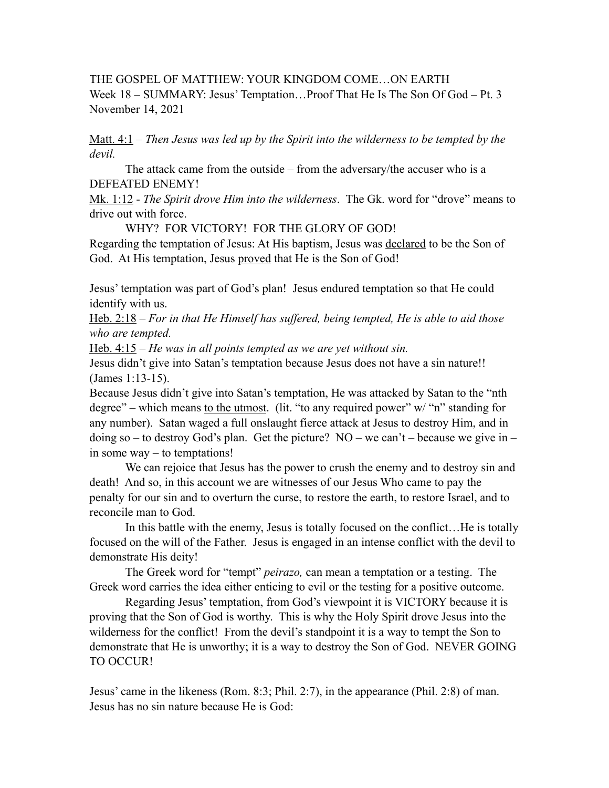THE GOSPEL OF MATTHEW: YOUR KINGDOM COME…ON EARTH Week 18 – SUMMARY: Jesus' Temptation…Proof That He Is The Son Of God – Pt. 3 November 14, 2021

Matt. 4:1 – *Then Jesus was led up by the Spirit into the wilderness to be tempted by the devil.* 

 The attack came from the outside – from the adversary/the accuser who is a DEFEATED ENEMY!

Mk. 1:12 - *The Spirit drove Him into the wilderness*. The Gk. word for "drove" means to drive out with force.

 WHY? FOR VICTORY! FOR THE GLORY OF GOD! Regarding the temptation of Jesus: At His baptism, Jesus was declared to be the Son of God. At His temptation, Jesus proved that He is the Son of God!

Jesus' temptation was part of God's plan! Jesus endured temptation so that He could identify with us.

Heb. 2:18 – *For in that He Himself has suffered, being tempted, He is able to aid those who are tempted.* 

Heb. 4:15 – *He was in all points tempted as we are yet without sin.* 

Jesus didn't give into Satan's temptation because Jesus does not have a sin nature!! (James 1:13-15).

Because Jesus didn't give into Satan's temptation, He was attacked by Satan to the "nth degree" – which means to the utmost. (lit. "to any required power"  $w$  "n" standing for any number). Satan waged a full onslaught fierce attack at Jesus to destroy Him, and in doing so – to destroy God's plan. Get the picture?  $NO$  – we can't – because we give in – in some way – to temptations!

We can rejoice that Jesus has the power to crush the enemy and to destroy sin and death! And so, in this account we are witnesses of our Jesus Who came to pay the penalty for our sin and to overturn the curse, to restore the earth, to restore Israel, and to reconcile man to God.

 In this battle with the enemy, Jesus is totally focused on the conflict…He is totally focused on the will of the Father. Jesus is engaged in an intense conflict with the devil to demonstrate His deity!

 The Greek word for "tempt" *peirazo,* can mean a temptation or a testing. The Greek word carries the idea either enticing to evil or the testing for a positive outcome.

 Regarding Jesus' temptation, from God's viewpoint it is VICTORY because it is proving that the Son of God is worthy. This is why the Holy Spirit drove Jesus into the wilderness for the conflict! From the devil's standpoint it is a way to tempt the Son to demonstrate that He is unworthy; it is a way to destroy the Son of God. NEVER GOING TO OCCUR!

Jesus' came in the likeness (Rom. 8:3; Phil. 2:7), in the appearance (Phil. 2:8) of man. Jesus has no sin nature because He is God: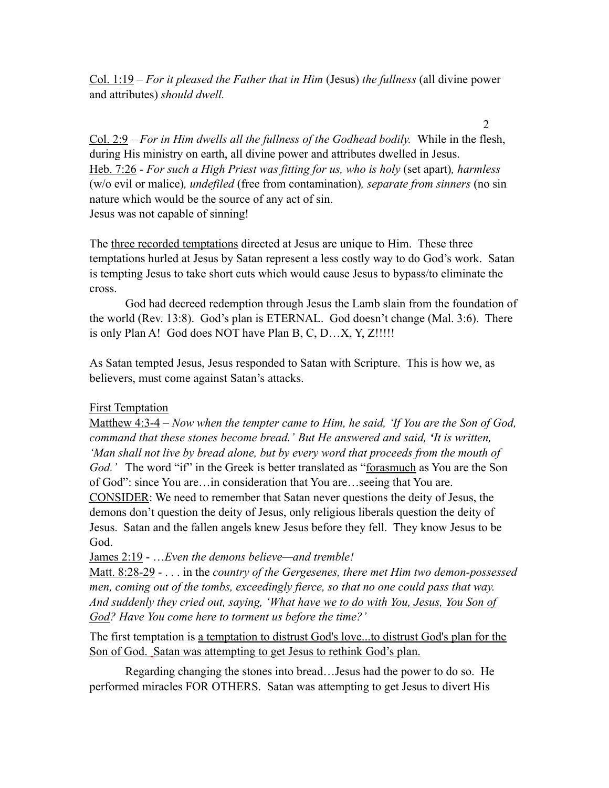Col. 1:19 – *For it pleased the Father that in Him* (Jesus) *the fullness* (all divine power and attributes) *should dwell.* 

2

Col. 2:9 – *For in Him dwells all the fullness of the Godhead bodily.* While in the flesh, during His ministry on earth, all divine power and attributes dwelled in Jesus. Heb. 7:26 - *For such a High Priest was fitting for us, who is holy* (set apart)*, harmless* (w/o evil or malice)*, undefiled* (free from contamination)*, separate from sinners* (no sin nature which would be the source of any act of sin. Jesus was not capable of sinning!

The three recorded temptations directed at Jesus are unique to Him. These three temptations hurled at Jesus by Satan represent a less costly way to do God's work. Satan is tempting Jesus to take short cuts which would cause Jesus to bypass/to eliminate the cross.

 God had decreed redemption through Jesus the Lamb slain from the foundation of the world (Rev. 13:8). God's plan is ETERNAL. God doesn't change (Mal. 3:6). There is only Plan A! God does NOT have Plan B, C, D…X, Y, Z!!!!!

As Satan tempted Jesus, Jesus responded to Satan with Scripture. This is how we, as believers, must come against Satan's attacks.

## **First Temptation**

Matthew 4:3-4 – *Now when the tempter came to Him, he said, 'If You are the Son of God, command that these stones become bread.' But He answered and said, 'It is written, 'Man shall not live by bread alone, but by every word that proceeds from the mouth of*  God.' The word "if" in the Greek is better translated as "forasmuch as You are the Son of God": since You are…in consideration that You are…seeing that You are. CONSIDER: We need to remember that Satan never questions the deity of Jesus, the demons don't question the deity of Jesus, only religious liberals question the deity of Jesus. Satan and the fallen angels knew Jesus before they fell. They know Jesus to be God.

James 2:19 - …*Even the demons believe—and tremble!* 

Matt. 8:28-29 - . . . in the *country of the Gergesenes, there met Him two demon-possessed men, coming out of the tombs, exceedingly fierce, so that no one could pass that way. And suddenly they cried out, saying, 'What have we to do with You, Jesus, You Son of God? Have You come here to torment us before the time?'* 

The first temptation is a temptation to distrust God's love...to distrust God's plan for the Son of God. Satan was attempting to get Jesus to rethink God's plan.

 Regarding changing the stones into bread…Jesus had the power to do so. He performed miracles FOR OTHERS. Satan was attempting to get Jesus to divert His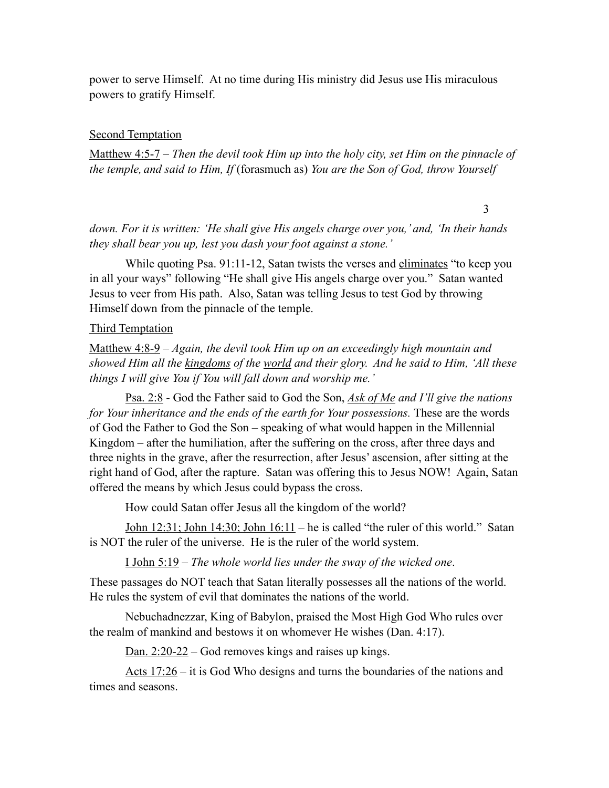power to serve Himself. At no time during His ministry did Jesus use His miraculous powers to gratify Himself.

## Second Temptation

Matthew 4:5-7 – *Then the devil took Him up into the holy city, set Him on the pinnacle of the temple, and said to Him, If* (forasmuch as) *You are the Son of God, throw Yourself* 

3

*down. For it is written: 'He shall give His angels charge over you,' and, 'In their hands they shall bear you up, lest you dash your foot against a stone.'* 

While quoting Psa. 91:11-12, Satan twists the verses and eliminates "to keep you in all your ways" following "He shall give His angels charge over you." Satan wanted Jesus to veer from His path. Also, Satan was telling Jesus to test God by throwing Himself down from the pinnacle of the temple.

## Third Temptation

Matthew 4:8-9 – *Again, the devil took Him up on an exceedingly high mountain and showed Him all the kingdoms of the world and their glory. And he said to Him, 'All these things I will give You if You will fall down and worship me.'* 

Psa. 2:8 - God the Father said to God the Son, *Ask of Me and I'll give the nations for Your inheritance and the ends of the earth for Your possessions.* These are the words of God the Father to God the Son – speaking of what would happen in the Millennial Kingdom – after the humiliation, after the suffering on the cross, after three days and three nights in the grave, after the resurrection, after Jesus' ascension, after sitting at the right hand of God, after the rapture. Satan was offering this to Jesus NOW! Again, Satan offered the means by which Jesus could bypass the cross.

How could Satan offer Jesus all the kingdom of the world?

John 12:31; John 14:30; John 16:11 – he is called "the ruler of this world." Satan is NOT the ruler of the universe. He is the ruler of the world system.

I John 5:19 – *The whole world lies under the sway of the wicked one*.

These passages do NOT teach that Satan literally possesses all the nations of the world. He rules the system of evil that dominates the nations of the world.

Nebuchadnezzar, King of Babylon, praised the Most High God Who rules over the realm of mankind and bestows it on whomever He wishes (Dan. 4:17).

Dan. 2:20-22 – God removes kings and raises up kings.

Acts 17:26 – it is God Who designs and turns the boundaries of the nations and times and seasons.